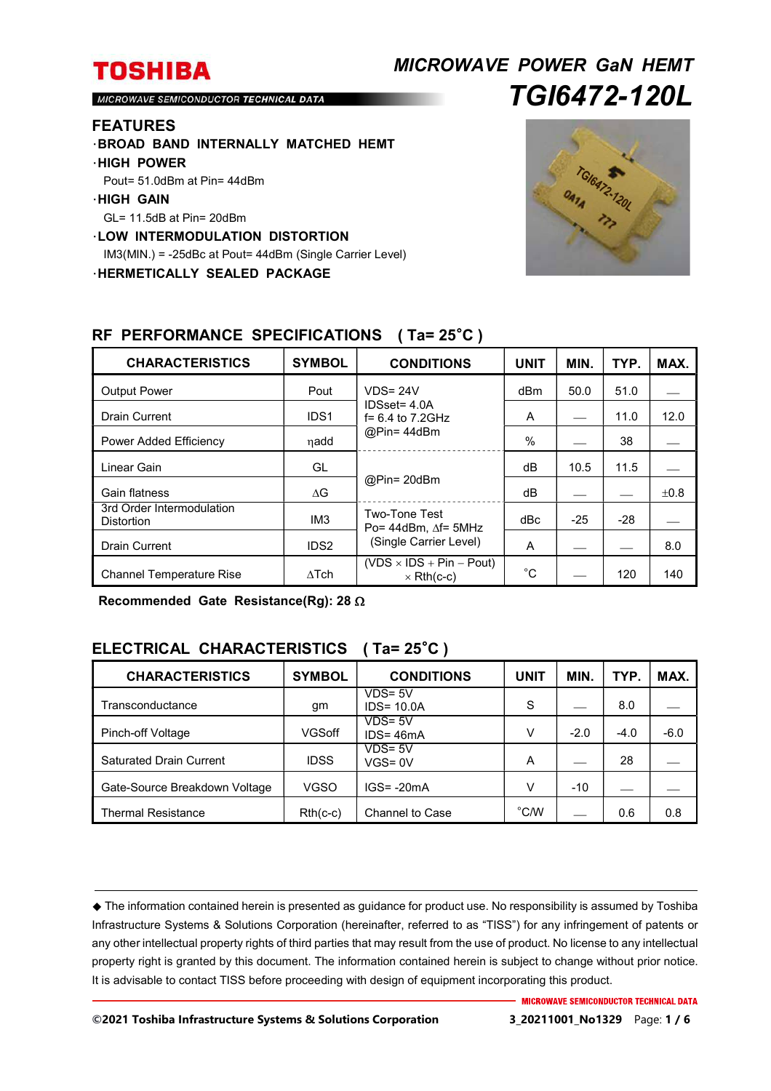# *MICROWAVE POWER GaN HEMT TGI6472-120L*

MICROWAVE SEMICONDUCTOR TECHNICAL DATA

#### **FEATURES**

- ・**BROAD BAND INTERNALLY MATCHED HEMT**
- ・**HIGH POWER**
- Pout= 51.0dBm at Pin= 44dBm
- ・**HIGH GAIN**
- GL= 11.5dB at Pin= 20dBm
- ・**LOW INTERMODULATION DISTORTION**

IM3(MIN.) = -25dBc at Pout= 44dBm (Single Carrier Level)

・**HERMETICALLY SEALED PACKAGE** 



| <b>CHARACTERISTICS</b>                  | <b>SYMBOL</b>    | <b>CONDITIONS</b>                                                          | <b>UNIT</b> | MIN.  | TYP.  | MAX. |
|-----------------------------------------|------------------|----------------------------------------------------------------------------|-------------|-------|-------|------|
| <b>Output Power</b>                     | Pout             | $VDS = 24V$<br>$IDSset = 4.0A$<br>$f = 6.4$ to 7.2GHz<br>@Pin=44dBm        | dBm         | 50.0  | 51.0  |      |
| <b>Drain Current</b>                    | IDS <sub>1</sub> |                                                                            | A           |       | 11.0  | 12.0 |
| Power Added Efficiency                  | nadd             |                                                                            | $\%$        |       | 38    |      |
| Linear Gain                             | GL               | @Pin= 20dBm                                                                | dВ          | 10.5  | 11.5  |      |
| Gain flatness                           | $\wedge G$       |                                                                            | dB          |       |       | ±0.8 |
| 3rd Order Intermodulation<br>Distortion | IM <sub>3</sub>  | Two-Tone Test<br>Po= $44$ dBm. $\Delta f$ = 5MHz<br>(Single Carrier Level) | dBc         | $-25$ | $-28$ |      |
| <b>Drain Current</b>                    | IDS <sub>2</sub> |                                                                            | A           |       |       | 8.0  |
| <b>Channel Temperature Rise</b>         | $\Lambda$ Tch    | $(VDS \times IDs + Pin - Pout)$<br>$\times$ Rth(c-c)                       | $^{\circ}C$ |       | 120   | 140  |

### **RF PERFORMANCE SPECIFICATIONS ( Ta= 25**°**C )**

**Recommended Gate Resistance(Rg): 28** 

## **ELECTRICAL CHARACTERISTICS ( Ta= 25**°**C )**

| <b>CHARACTERISTICS</b>         | <b>SYMBOL</b> | <b>CONDITIONS</b>           | <b>UNIT</b>    | <b>MIN</b> | TYP.   | MAX.   |
|--------------------------------|---------------|-----------------------------|----------------|------------|--------|--------|
| Transconductance               | gm            | $VDS = 5V$<br>$IDS = 10.0A$ | S              |            | 8.0    |        |
| Pinch-off Voltage              | <b>VGSoff</b> | $VDS = 5V$<br>$IDS = 46mA$  | v              | $-2.0$     | $-4.0$ | $-6.0$ |
| <b>Saturated Drain Current</b> | <b>IDSS</b>   | $VDS = 5V$<br>$VGS = 0V$    | A              |            | 28     |        |
| Gate-Source Breakdown Voltage  | <b>VGSO</b>   | $IGS = -20mA$               | v              | $-10$      |        |        |
| <b>Thermal Resistance</b>      | $Rth(c-c)$    | <b>Channel to Case</b>      | $^{\circ}$ C/W |            | 0.6    | 0.8    |

 The information contained herein is presented as guidance for product use. No responsibility is assumed by Toshiba Infrastructure Systems & Solutions Corporation (hereinafter, referred to as "TISS") for any infringement of patents or any other intellectual property rights of third parties that may result from the use of product. No license to any intellectual property right is granted by this document. The information contained herein is subject to change without prior notice. It is advisable to contact TISS before proceeding with design of equipment incorporating this product.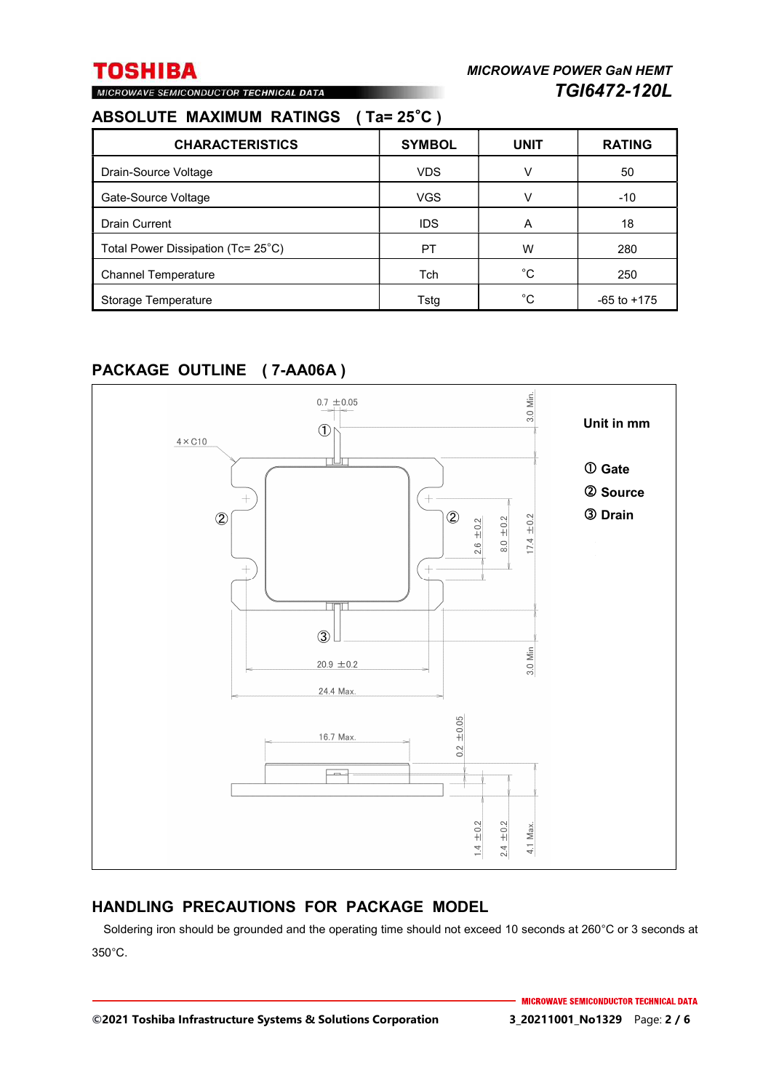# MICROWAVE SEMICONDUCTOR TECHNICAL DATA

## **ABSOLUTE MAXIMUM RATINGS ( Ta= 25**°**C )**

| <b>CHARACTERISTICS</b>             | <b>SYMBOL</b> | <b>UNIT</b> | <b>RATING</b>   |
|------------------------------------|---------------|-------------|-----------------|
| Drain-Source Voltage               | <b>VDS</b>    | v           | 50              |
| Gate-Source Voltage                | <b>VGS</b>    | v           | $-10$           |
| <b>Drain Current</b>               | <b>IDS</b>    | A           | 18              |
| Total Power Dissipation (Tc= 25°C) | PT            | W           | 280             |
| <b>Channel Temperature</b>         | Tch           | $^{\circ}C$ | 250             |
| Storage Temperature                | Tsta          | °C.         | $-65$ to $+175$ |

## **PACKAGE OUTLINE ( 7-AA06A )**



## **HANDLING PRECAUTIONS FOR PACKAGE MODEL**

Soldering iron should be grounded and the operating time should not exceed 10 seconds at 260°C or 3 seconds at 350°C.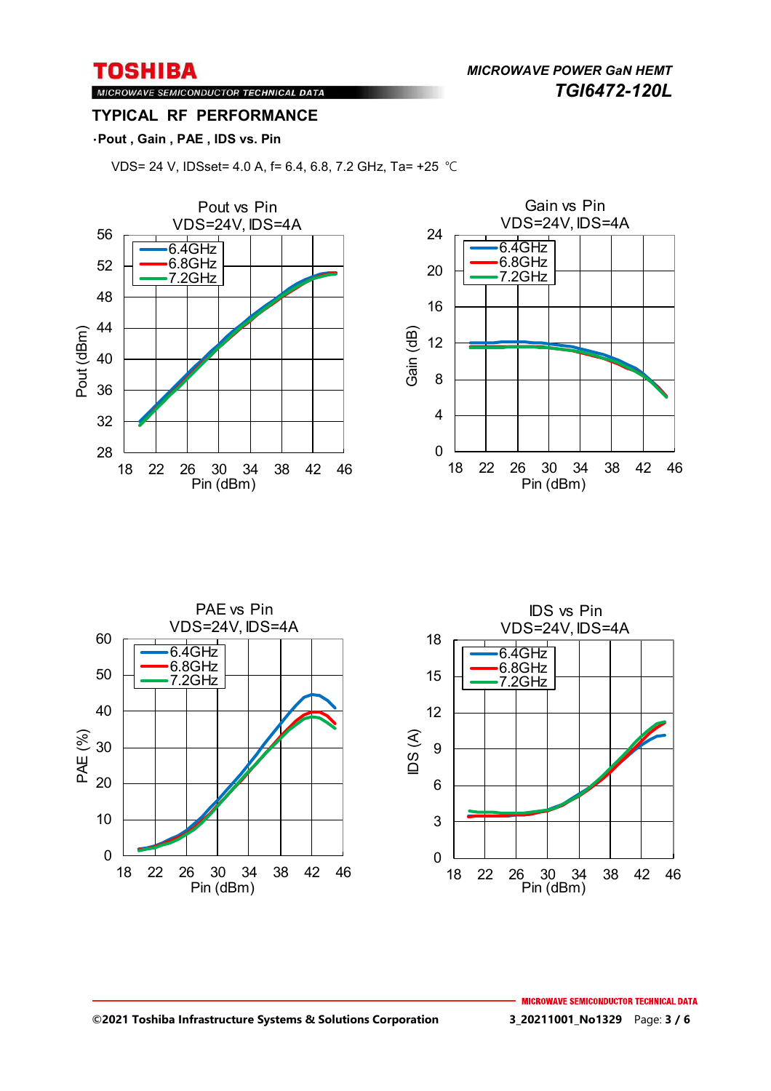*MICROWAVE POWER GaN HEMT TGI6472-120L* 

### MICROWAVE SEMICONDUCTOR TECHNICAL DATA **TYPICAL RF PERFORMANCE**

### ・**Pout , Gain , PAE , IDS vs. Pin**

VDS= 24 V, IDSset= 4.0 A, f= 6.4, 6.8, 7.2 GHz, Ta= +25 ℃





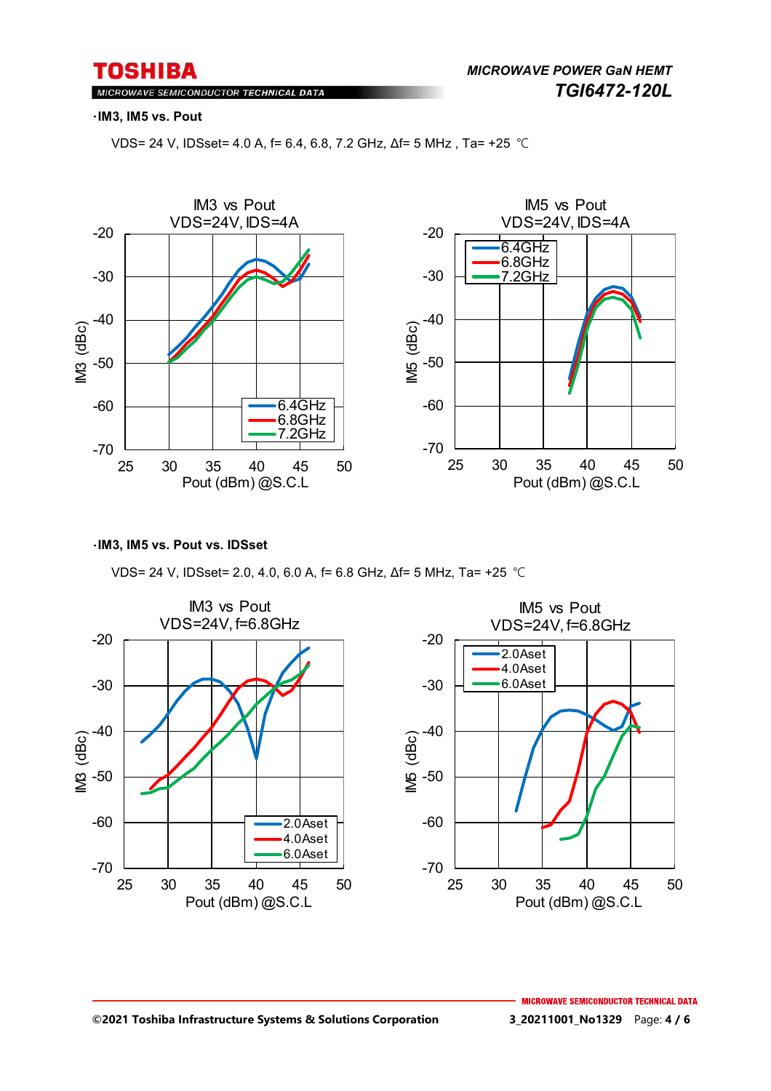MICROWAVE SEMICONDUCTOR TECHNICAL DATA

#### ・**IM3, IM5 vs. Pout**

VDS= 24 V, IDSset= 4.0 A, f= 6.4, 6.8, 7.2 GHz, Δf= 5 MHz , Ta= +25 ℃



#### ・**IM3, IM5 vs. Pout vs. IDSset**

VDS= 24 V, IDSset= 2.0, 4.0, 6.0 A, f= 6.8 GHz, Δf= 5 MHz, Ta= +25 ℃

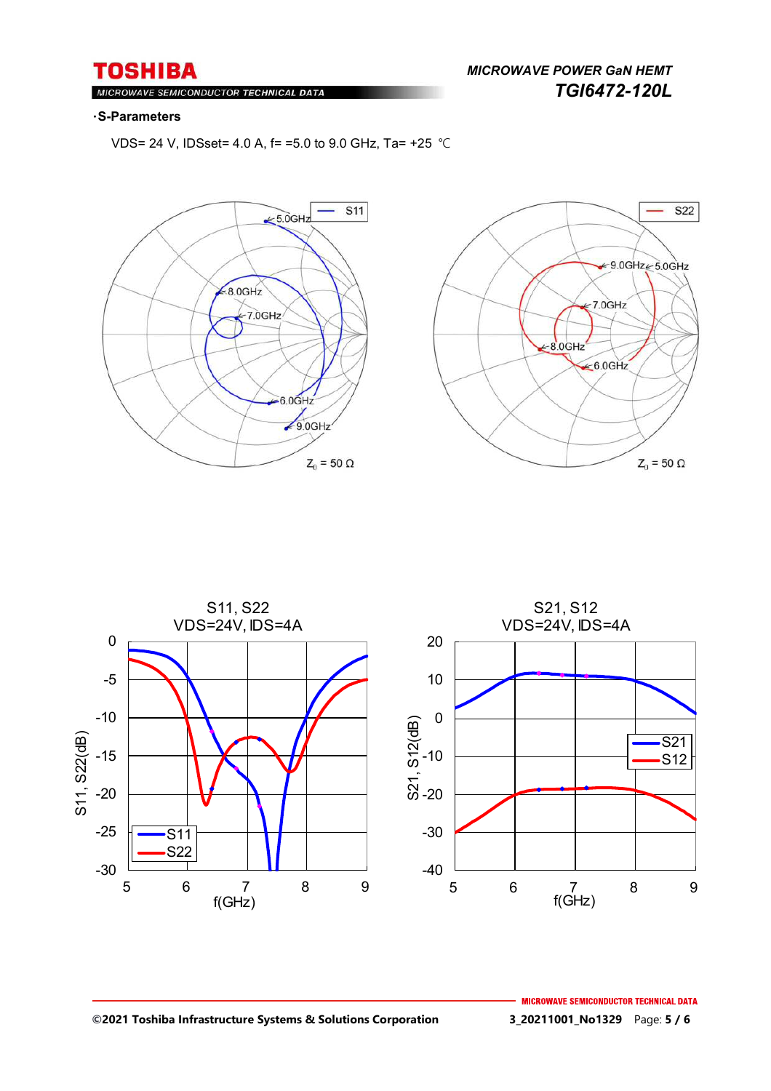## **TOSHIBA** ROWAVE SEMICONDUCTOR <mark>TECHNICAL DATA</mark>

*MICROWAVE POWER GaN HEMT TGI6472-120L* 

#### ・**S-Parameters**

 $Ml$ 

VDS= 24 V, IDSset= 4.0 A, f= =5.0 to 9.0 GHz, Ta= +25 ℃







#### **©2021 Toshiba Infrastructure Systems & Solutions Corporation 3\_20211001\_No1329** Page: **5 / 6**